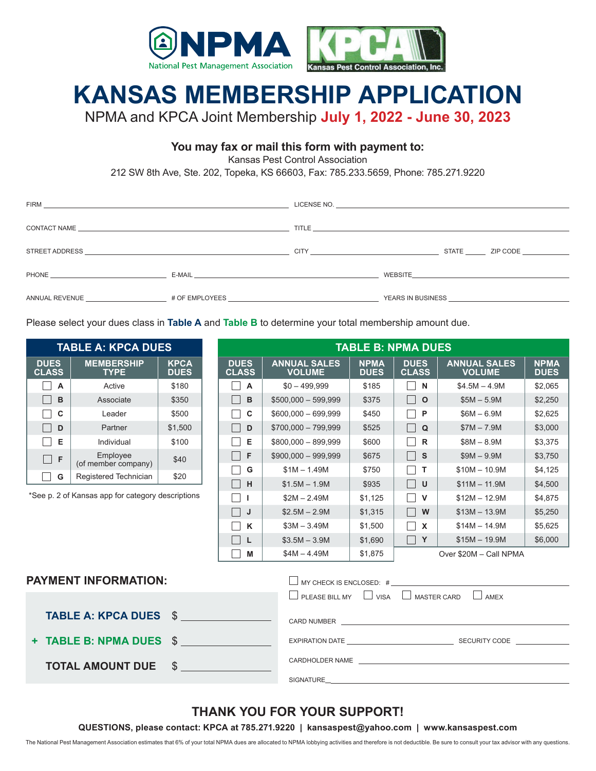

## **KANSAS MEMBERSHIP APPLICATION**

NPMA and KPCA Joint Membership **July 1, 2022 - June 30, 2023**

#### **You may fax or mail this form with payment to:**

Kansas Pest Control Association

212 SW 8th Ave, Ste. 202, Topeka, KS 66603, Fax: 785.233.5659, Phone: 785.271.9220

| STREET ADDRESS AND THE STREET AND THE STREET ADDRESS AND THE STREET ADDRESS. |                      | <b>CITY CITY CITY</b> |                                               | STATE ZIP CODE                                                                                                                                                                                                                      |
|------------------------------------------------------------------------------|----------------------|-----------------------|-----------------------------------------------|-------------------------------------------------------------------------------------------------------------------------------------------------------------------------------------------------------------------------------------|
| PHONE <b>Example 2008</b>                                                    | E-MAIL <b>E-MAIL</b> |                       |                                               | WEBSITE <b>And Constitution Constitution</b> and the constitution of the constitution of the constitution of the constitution of the constitution of the constitution of the constitution of the constitution of the constitution o |
| ANNUAL REVENUE THE RESERVED OF EMPLOYEES                                     |                      |                       | YEARS IN BUSINESS <b>SECURE 18 IN STREAMS</b> |                                                                                                                                                                                                                                     |

Please select your dues class in **Table A** and **Table B** to determine your total membership amount due.

| <b>TABLE A: KPCA DUES</b>                                                     |                                  |                            |               | <b>TABLE B: NPMA DUES</b>   |                                                                                                                                                                                                                                |                            |                                     |                                      |                            |  |
|-------------------------------------------------------------------------------|----------------------------------|----------------------------|---------------|-----------------------------|--------------------------------------------------------------------------------------------------------------------------------------------------------------------------------------------------------------------------------|----------------------------|-------------------------------------|--------------------------------------|----------------------------|--|
| <b>DUES</b><br><b>CLASS</b>                                                   | <b>MEMBERSHIP</b><br><b>TYPE</b> | <b>KPCA</b><br><b>DUES</b> |               | <b>DUES</b><br><b>CLASS</b> | <b>ANNUAL SALES</b><br><b>VOLUME</b>                                                                                                                                                                                           | <b>NPMA</b><br><b>DUES</b> | <b>DUES</b><br><b>CLASS</b>         | <b>ANNUAL SALES</b><br><b>VOLUME</b> | <b>NPMA</b><br><b>DUES</b> |  |
| $\overline{A}$                                                                | Active                           | \$180                      |               | A<br>$\perp$                | $$0 - 499,999$                                                                                                                                                                                                                 | \$185                      | $\Box$ N                            | $$4.5M - 4.9M$$                      | \$2,065                    |  |
| B                                                                             | Associate                        | \$350                      |               | B                           | $$500,000 - 599,999$                                                                                                                                                                                                           | \$375                      | $\Box$<br>$\circ$                   | $$5M - 5.9M$                         | \$2,250                    |  |
| C                                                                             | Leader                           | \$500                      |               | C                           | $$600,000 - 699,999$                                                                                                                                                                                                           | \$450                      | $\mathbf{L}$<br>P                   | $$6M - 6.9M$                         | \$2,625                    |  |
| D<br>H                                                                        | Partner                          | \$1,500                    |               | D                           | $$700,000 - 799,999$                                                                                                                                                                                                           | \$525                      | $\Box$<br>Q                         | $$7M - 7.9M$                         | \$3,000                    |  |
| Е                                                                             | Individual                       | \$100                      |               | Е                           | $$800,000 - 899,999$                                                                                                                                                                                                           | \$600                      | $\perp$<br>$\mathsf{R}$             | $$8M - 8.9M$                         | \$3,375                    |  |
| $\Box$ F                                                                      | Employee<br>(of member company)  | \$40                       |               | $\Box$<br>F                 | $$900,000 - 999,999$                                                                                                                                                                                                           | \$675                      | $\Box$<br>$\mathsf{s}$              | $$9M - 9.9M$                         | \$3,750                    |  |
| G                                                                             | Registered Technician            | \$20                       |               | G<br>$\perp$                | $$1M - 1.49M$                                                                                                                                                                                                                  | \$750                      | $\Box$<br>T                         | $$10M - 10.9M$                       | \$4,125                    |  |
|                                                                               |                                  |                            | $\Box$<br>H   | $$1.5M - 1.9M$              | \$935                                                                                                                                                                                                                          | $\Box$<br>$\cup$           | $$11M - 11.9M$                      | \$4,500                              |                            |  |
| *See p. 2 of Kansas app for category descriptions<br>$\Box$<br>$\blacksquare$ |                                  |                            | $$2M - 2.49M$ | \$1,125                     | $\Box$<br>$\mathsf{V}$                                                                                                                                                                                                         | $$12M - 12.9M$             | \$4,875                             |                                      |                            |  |
|                                                                               |                                  |                            |               | П<br>J                      | $$2.5M - 2.9M$                                                                                                                                                                                                                 | \$1,315                    | $\Box$<br>W                         | $$13M - 13.9M$                       | \$5,250                    |  |
|                                                                               |                                  |                            |               | $\Box$<br>K                 | $$3M - 3.49M$                                                                                                                                                                                                                  | \$1,500                    | $\Box$<br>$\boldsymbol{\mathsf{x}}$ | $$14M - 14.9M$                       | \$5,625                    |  |
|                                                                               |                                  |                            |               | $\Box$<br><b>L</b>          | $$3.5M - 3.9M$                                                                                                                                                                                                                 | \$1,690                    | $\Box$<br>Y                         | $$15M - 19.9M$                       | \$6,000                    |  |
| M                                                                             |                                  |                            |               | $$4M - 4.49M$$              | \$1,875                                                                                                                                                                                                                        | Over \$20M - Call NPMA     |                                     |                                      |                            |  |
| <b>PAYMENT INFORMATION:</b><br>$\Box$ MY CHECK IS ENCLOSED: # $\Box$          |                                  |                            |               |                             |                                                                                                                                                                                                                                |                            |                                     |                                      |                            |  |
| │ │ PLEASE BILL MY │ │ VISA │ │ MASTER CARD<br>$\vert$ $\vert$ AMEX           |                                  |                            |               |                             |                                                                                                                                                                                                                                |                            |                                     |                                      |                            |  |
| <b>TABLE A: KPCA DUES \$</b>                                                  |                                  |                            |               |                             | CARD NUMBER AND THE STATE OF THE STATE OF THE STATE OF THE STATE OF THE STATE OF THE STATE OF THE STATE OF THE STATE OF THE STATE OF THE STATE OF THE STATE OF THE STATE OF THE STATE OF THE STATE OF THE STATE OF THE STATE O |                            |                                     |                                      |                            |  |
| <b>+ TABLE B: NPMA DUES</b><br>$\mathbb{S}$                                   |                                  |                            |               |                             |                                                                                                                                                                                                                                |                            |                                     |                                      |                            |  |
|                                                                               | <b>TOTAL AMOUNT DUE</b>          |                            |               |                             |                                                                                                                                                                                                                                |                            |                                     |                                      |                            |  |
|                                                                               |                                  |                            |               |                             |                                                                                                                                                                                                                                |                            |                                     |                                      |                            |  |

#### **THANK YOU FOR YOUR SUPPORT!**

**QUESTIONS, please contact: KPCA at 785.271.9220 | kansaspest@yahoo.com | www.kansaspest.com**

The National Pest Management Association estimates that 6% of your total NPMA dues are allocated to NPMA lobbying activities and therefore is not deductible. Be sure to consult your tax advisor with any questions